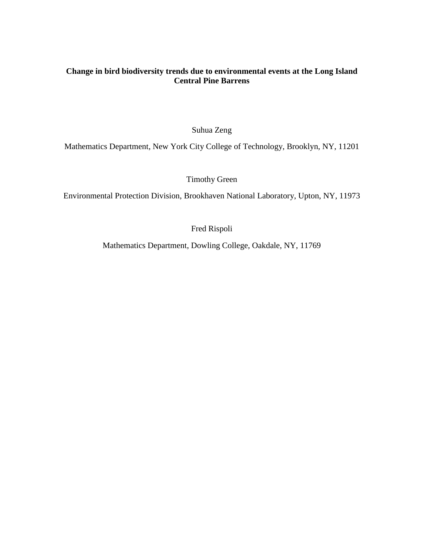# **Change in bird biodiversity trends due to environmental events at the Long Island Central Pine Barrens**

Suhua Zeng

Mathematics Department, New York City College of Technology, Brooklyn, NY, 11201

Timothy Green

Environmental Protection Division, Brookhaven National Laboratory, Upton, NY, 11973

Fred Rispoli

Mathematics Department, Dowling College, Oakdale, NY, 11769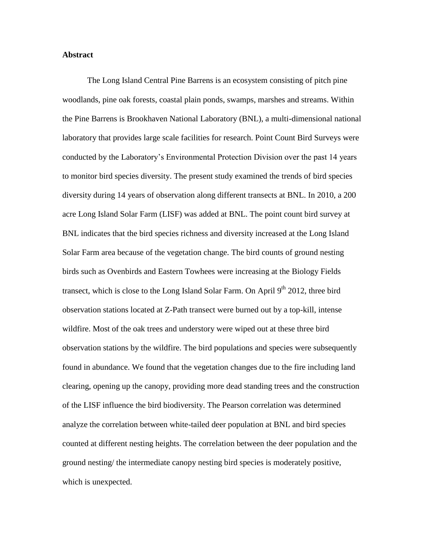#### **Abstract**

The Long Island Central Pine Barrens is an ecosystem consisting of pitch pine woodlands, pine oak forests, coastal plain ponds, swamps, marshes and streams. Within the Pine Barrens is Brookhaven National Laboratory (BNL), a multi-dimensional national laboratory that provides large scale facilities for research. Point Count Bird Surveys were conducted by the Laboratory's Environmental Protection Division over the past 14 years to monitor bird species diversity. The present study examined the trends of bird species diversity during 14 years of observation along different transects at BNL. In 2010, a 200 acre Long Island Solar Farm (LISF) was added at BNL. The point count bird survey at BNL indicates that the bird species richness and diversity increased at the Long Island Solar Farm area because of the vegetation change. The bird counts of ground nesting birds such as Ovenbirds and Eastern Towhees were increasing at the Biology Fields transect, which is close to the Long Island Solar Farm. On April  $9<sup>th</sup> 2012$ , three bird observation stations located at Z-Path transect were burned out by a top-kill, intense wildfire. Most of the oak trees and understory were wiped out at these three bird observation stations by the wildfire. The bird populations and species were subsequently found in abundance. We found that the vegetation changes due to the fire including land clearing, opening up the canopy, providing more dead standing trees and the construction of the LISF influence the bird biodiversity. The Pearson correlation was determined analyze the correlation between white-tailed deer population at BNL and bird species counted at different nesting heights. The correlation between the deer population and the ground nesting/ the intermediate canopy nesting bird species is moderately positive, which is unexpected.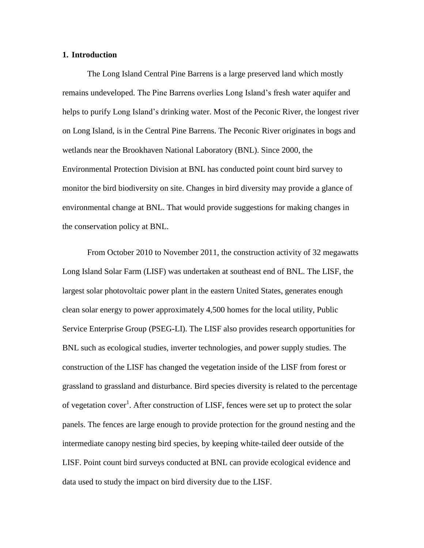#### **1. Introduction**

The Long Island Central Pine Barrens is a large preserved land which mostly remains undeveloped. The Pine Barrens overlies Long Island's fresh water aquifer and helps to purify Long Island's drinking water. Most of the Peconic River, the longest river on Long Island, is in the Central Pine Barrens. The Peconic River originates in bogs and wetlands near the Brookhaven National Laboratory (BNL). Since 2000, the Environmental Protection Division at BNL has conducted point count bird survey to monitor the bird biodiversity on site. Changes in bird diversity may provide a glance of environmental change at BNL. That would provide suggestions for making changes in the conservation policy at BNL.

From October 2010 to November 2011, the construction activity of 32 megawatts Long Island Solar Farm (LISF) was undertaken at southeast end of BNL. The LISF, the largest solar photovoltaic power plant in the eastern United States, generates enough clean solar energy to power approximately 4,500 homes for the local utility, Public Service Enterprise Group (PSEG-LI). The LISF also provides research opportunities for BNL such as ecological studies, inverter technologies, and power supply studies. The construction of the LISF has changed the vegetation inside of the LISF from forest or grassland to grassland and disturbance. Bird species diversity is related to the percentage of vegetation cover<sup>1</sup>. After construction of LISF, fences were set up to protect the solar panels. The fences are large enough to provide protection for the ground nesting and the intermediate canopy nesting bird species, by keeping white-tailed deer outside of the LISF. Point count bird surveys conducted at BNL can provide ecological evidence and data used to study the impact on bird diversity due to the LISF.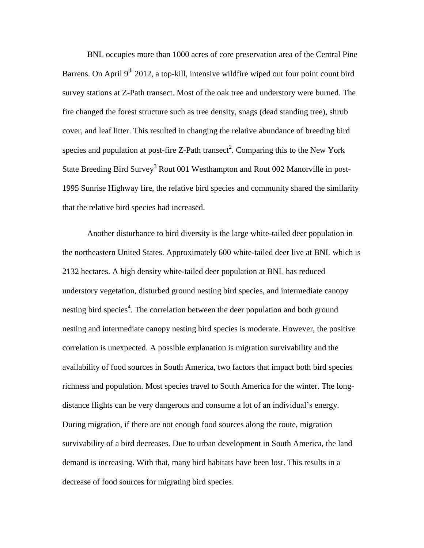BNL occupies more than 1000 acres of core preservation area of the Central Pine Barrens. On April  $9<sup>th</sup> 2012$ , a top-kill, intensive wildfire wiped out four point count bird survey stations at Z-Path transect. Most of the oak tree and understory were burned. The fire changed the forest structure such as tree density, snags (dead standing tree), shrub cover, and leaf litter. This resulted in changing the relative abundance of breeding bird species and population at post-fire Z-Path transect<sup>2</sup>. Comparing this to the New York State Breeding Bird Survey<sup>3</sup> Rout 001 Westhampton and Rout 002 Manorville in post-1995 Sunrise Highway fire, the relative bird species and community shared the similarity that the relative bird species had increased.

Another disturbance to bird diversity is the large white-tailed deer population in the northeastern United States. Approximately 600 white-tailed deer live at BNL which is 2132 hectares. A high density white-tailed deer population at BNL has reduced understory vegetation, disturbed ground nesting bird species, and intermediate canopy nesting bird species<sup>4</sup>. The correlation between the deer population and both ground nesting and intermediate canopy nesting bird species is moderate. However, the positive correlation is unexpected. A possible explanation is migration survivability and the availability of food sources in South America, two factors that impact both bird species richness and population. Most species travel to South America for the winter. The longdistance flights can be very dangerous and consume a lot of an individual's energy. During migration, if there are not enough food sources along the route, migration survivability of a bird decreases. Due to urban development in South America, the land demand is increasing. With that, many bird habitats have been lost. This results in a decrease of food sources for migrating bird species.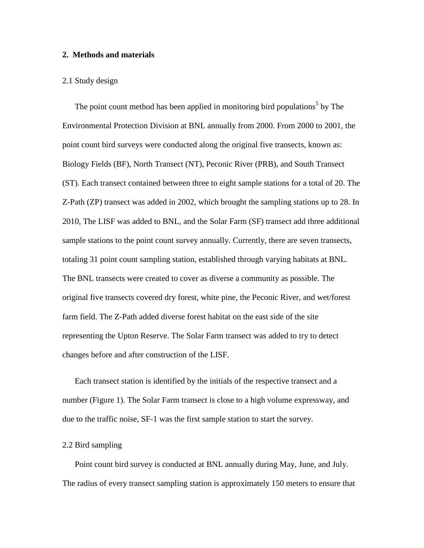#### **2. Methods and materials**

#### 2.1 Study design

The point count method has been applied in monitoring bird populations<sup>5</sup> by The Environmental Protection Division at BNL annually from 2000. From 2000 to 2001, the point count bird surveys were conducted along the original five transects, known as: Biology Fields (BF), North Transect (NT), Peconic River (PRB), and South Transect (ST). Each transect contained between three to eight sample stations for a total of 20. The Z-Path (ZP) transect was added in 2002, which brought the sampling stations up to 28. In 2010, The LISF was added to BNL, and the Solar Farm (SF) transect add three additional sample stations to the point count survey annually. Currently, there are seven transects, totaling 31 point count sampling station, established through varying habitats at BNL. The BNL transects were created to cover as diverse a community as possible. The original five transects covered dry forest, white pine, the Peconic River, and wet/forest farm field. The Z-Path added diverse forest habitat on the east side of the site representing the Upton Reserve. The Solar Farm transect was added to try to detect changes before and after construction of the LISF.

Each transect station is identified by the initials of the respective transect and a number (Figure 1). The Solar Farm transect is close to a high volume expressway, and due to the traffic noise, SF-1 was the first sample station to start the survey.

### 2.2 Bird sampling

Point count bird survey is conducted at BNL annually during May, June, and July. The radius of every transect sampling station is approximately 150 meters to ensure that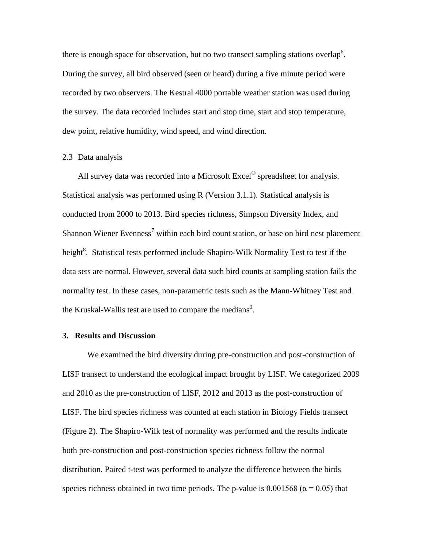there is enough space for observation, but no two transect sampling stations overlap<sup>6</sup>. During the survey, all bird observed (seen or heard) during a five minute period were recorded by two observers. The Kestral 4000 portable weather station was used during the survey. The data recorded includes start and stop time, start and stop temperature, dew point, relative humidity, wind speed, and wind direction.

#### 2.3 Data analysis

All survey data was recorded into a Microsoft  $\text{Excel}^{\circledast}$  spreadsheet for analysis. Statistical analysis was performed using R (Version 3.1.1). Statistical analysis is conducted from 2000 to 2013. Bird species richness, Simpson Diversity Index, and Shannon Wiener Evenness<sup>7</sup> within each bird count station, or base on bird nest placement height<sup>8</sup>. Statistical tests performed include Shapiro-Wilk Normality Test to test if the data sets are normal. However, several data such bird counts at sampling station fails the normality test. In these cases, non-parametric tests such as the Mann-Whitney Test and the Kruskal-Wallis test are used to compare the medians<sup>9</sup>.

#### **3. Results and Discussion**

We examined the bird diversity during pre-construction and post-construction of LISF transect to understand the ecological impact brought by LISF. We categorized 2009 and 2010 as the pre-construction of LISF, 2012 and 2013 as the post-construction of LISF. The bird species richness was counted at each station in Biology Fields transect (Figure 2). The Shapiro-Wilk test of normality was performed and the results indicate both pre-construction and post-construction species richness follow the normal distribution. Paired t-test was performed to analyze the difference between the birds species richness obtained in two time periods. The p-value is  $0.001568$  ( $\alpha$  = 0.05) that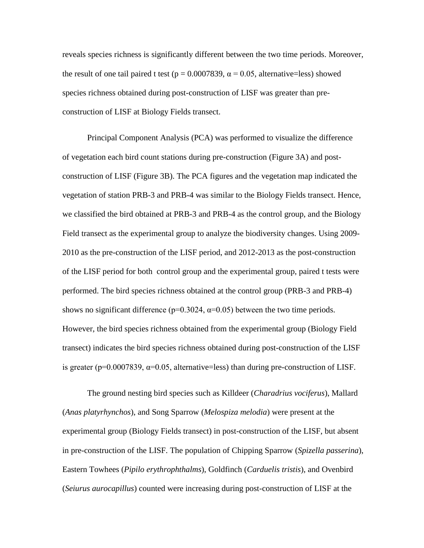reveals species richness is significantly different between the two time periods. Moreover, the result of one tail paired t test ( $p = 0.0007839$ ,  $\alpha = 0.05$ , alternative=less) showed species richness obtained during post-construction of LISF was greater than preconstruction of LISF at Biology Fields transect.

Principal Component Analysis (PCA) was performed to visualize the difference of vegetation each bird count stations during pre-construction (Figure 3A) and postconstruction of LISF (Figure 3B). The PCA figures and the vegetation map indicated the vegetation of station PRB-3 and PRB-4 was similar to the Biology Fields transect. Hence, we classified the bird obtained at PRB-3 and PRB-4 as the control group, and the Biology Field transect as the experimental group to analyze the biodiversity changes. Using 2009- 2010 as the pre-construction of the LISF period, and 2012-2013 as the post-construction of the LISF period for both control group and the experimental group, paired t tests were performed. The bird species richness obtained at the control group (PRB-3 and PRB-4) shows no significant difference ( $p=0.3024$ ,  $\alpha=0.05$ ) between the two time periods. However, the bird species richness obtained from the experimental group (Biology Field transect) indicates the bird species richness obtained during post-construction of the LISF is greater ( $p=0.0007839$ ,  $\alpha=0.05$ , alternative=less) than during pre-construction of LISF.

The ground nesting bird species such as Killdeer (*Charadrius vociferus*), Mallard (*Anas platyrhynchos*), and Song Sparrow (*Melospiza melodia*) were present at the experimental group (Biology Fields transect) in post-construction of the LISF, but absent in pre-construction of the LISF. The population of Chipping Sparrow (*Spizella passerina*), Eastern Towhees (*Pipilo erythrophthalms*), Goldfinch (*Carduelis tristis*), and Ovenbird (*Seiurus aurocapillus*) counted were increasing during post-construction of LISF at the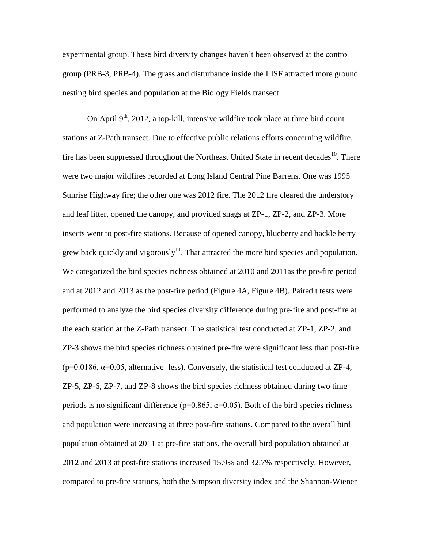experimental group. These bird diversity changes haven't been observed at the control group (PRB-3, PRB-4). The grass and disturbance inside the LISF attracted more ground nesting bird species and population at the Biology Fields transect.

On April  $9<sup>th</sup>$ , 2012, a top-kill, intensive wildfire took place at three bird count stations at Z-Path transect. Due to effective public relations efforts concerning wildfire, fire has been suppressed throughout the Northeast United State in recent decades<sup>10</sup>. There were two major wildfires recorded at Long Island Central Pine Barrens. One was 1995 Sunrise Highway fire; the other one was 2012 fire. The 2012 fire cleared the understory and leaf litter, opened the canopy, and provided snags at ZP-1, ZP-2, and ZP-3. More insects went to post-fire stations. Because of opened canopy, blueberry and hackle berry grew back quickly and vigorously $11$ . That attracted the more bird species and population. We categorized the bird species richness obtained at 2010 and 2011as the pre-fire period and at 2012 and 2013 as the post-fire period (Figure 4A, Figure 4B). Paired t tests were performed to analyze the bird species diversity difference during pre-fire and post-fire at the each station at the Z-Path transect. The statistical test conducted at ZP-1, ZP-2, and ZP-3 shows the bird species richness obtained pre-fire were significant less than post-fire ( $p=0.0186$ ,  $\alpha=0.05$ , alternative=less). Conversely, the statistical test conducted at ZP-4, ZP-5, ZP-6, ZP-7, and ZP-8 shows the bird species richness obtained during two time periods is no significant difference ( $p=0.865$ ,  $α=0.05$ ). Both of the bird species richness and population were increasing at three post-fire stations. Compared to the overall bird population obtained at 2011 at pre-fire stations, the overall bird population obtained at 2012 and 2013 at post-fire stations increased 15.9% and 32.7% respectively. However, compared to pre-fire stations, both the Simpson diversity index and the Shannon-Wiener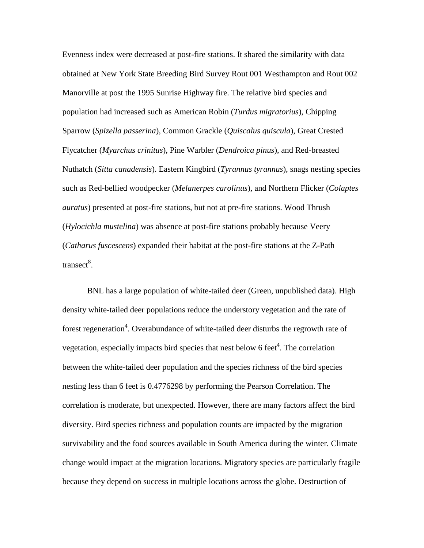Evenness index were decreased at post-fire stations. It shared the similarity with data obtained at New York State Breeding Bird Survey Rout 001 Westhampton and Rout 002 Manorville at post the 1995 Sunrise Highway fire. The relative bird species and population had increased such as American Robin (*Turdus migratorius*), Chipping Sparrow (*Spizella passerina*), Common Grackle (*Quiscalus quiscula*), Great Crested Flycatcher (*Myarchus crinitus*), Pine Warbler (*Dendroica pinus*), and Red-breasted Nuthatch (*Sitta canadensis*). Eastern Kingbird (*Tyrannus tyrannus*), snags nesting species such as Red-bellied woodpecker (*Melanerpes carolinus*), and Northern Flicker (*Colaptes auratus*) presented at post-fire stations, but not at pre-fire stations. Wood Thrush (*Hylocichla mustelina*) was absence at post-fire stations probably because Veery (*Catharus fuscescens*) expanded their habitat at the post-fire stations at the Z-Path transect<sup>8</sup>.

BNL has a large population of white-tailed deer (Green, unpublished data). High density white-tailed deer populations reduce the understory vegetation and the rate of forest regeneration<sup>4</sup>. Overabundance of white-tailed deer disturbs the regrowth rate of vegetation, especially impacts bird species that nest below 6 feet<sup>4</sup>. The correlation between the white-tailed deer population and the species richness of the bird species nesting less than 6 feet is 0.4776298 by performing the Pearson Correlation. The correlation is moderate, but unexpected. However, there are many factors affect the bird diversity. Bird species richness and population counts are impacted by the migration survivability and the food sources available in South America during the winter. Climate change would impact at the migration locations. Migratory species are particularly fragile because they depend on success in multiple locations across the globe. Destruction of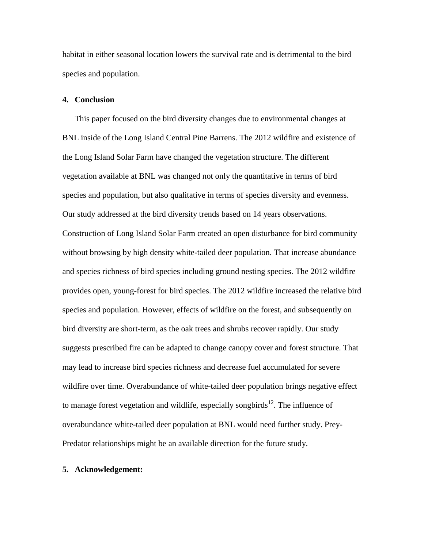habitat in either seasonal location lowers the survival rate and is detrimental to the bird species and population.

#### **4. Conclusion**

This paper focused on the bird diversity changes due to environmental changes at BNL inside of the Long Island Central Pine Barrens. The 2012 wildfire and existence of the Long Island Solar Farm have changed the vegetation structure. The different vegetation available at BNL was changed not only the quantitative in terms of bird species and population, but also qualitative in terms of species diversity and evenness. Our study addressed at the bird diversity trends based on 14 years observations. Construction of Long Island Solar Farm created an open disturbance for bird community without browsing by high density white-tailed deer population. That increase abundance and species richness of bird species including ground nesting species. The 2012 wildfire provides open, young-forest for bird species. The 2012 wildfire increased the relative bird species and population. However, effects of wildfire on the forest, and subsequently on bird diversity are short-term, as the oak trees and shrubs recover rapidly. Our study suggests prescribed fire can be adapted to change canopy cover and forest structure. That may lead to increase bird species richness and decrease fuel accumulated for severe wildfire over time. Overabundance of white-tailed deer population brings negative effect to manage forest vegetation and wildlife, especially songbirds<sup>12</sup>. The influence of overabundance white-tailed deer population at BNL would need further study. Prey-Predator relationships might be an available direction for the future study.

#### **5. Acknowledgement:**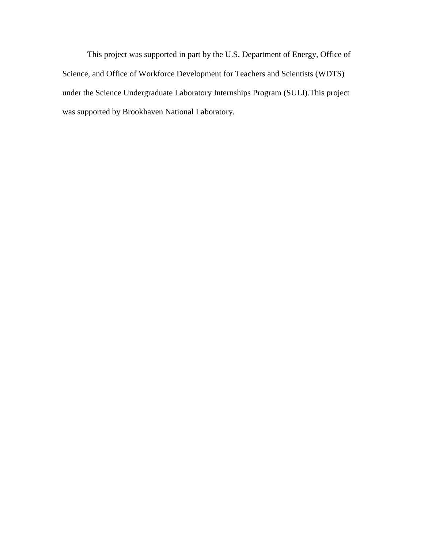This project was supported in part by the U.S. Department of Energy, Office of Science, and Office of Workforce Development for Teachers and Scientists (WDTS) under the Science Undergraduate Laboratory Internships Program (SULI).This project was supported by Brookhaven National Laboratory.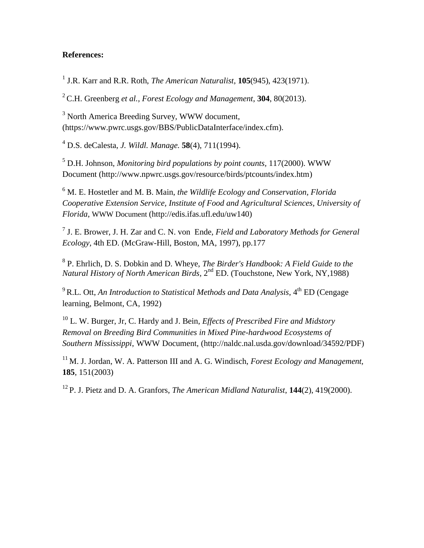## **References:**

1 J.R. Karr and R.R. Roth, *The American Naturalist*, **105**(945), 423(1971).

<sup>2</sup> C.H. Greenberg *et al., Forest Ecology and Management*, **304**, 80(2013).

<sup>3</sup> North America Breeding Survey, WWW document, (https://www.pwrc.usgs.gov/BBS/PublicDataInterface/index.cfm).

<sup>4</sup> D.S. deCalesta, *J. Wildl. Manage.* **58**(4), 711(1994).

<sup>5</sup> D.H. Johnson, *Monitoring bird populations by point counts,* 117(2000). WWW Document (http://www.npwrc.usgs.gov/resource/birds/ptcounts/index.htm)

<sup>6</sup> M. E. Hostetler and M. B. Main, *the Wildlife Ecology and Conservation, Florida Cooperative Extension Service, Institute of Food and Agricultural Sciences, University of Florida*, WWW Document (http://edis.ifas.ufl.edu/uw140)

7 J. E. Brower, J. H. Zar and C. N. von Ende, *Field and Laboratory Methods for General Ecology,* 4th ED. (McGraw-Hill, Boston, MA, 1997), pp.177

8 P. Ehrlich, D. S. Dobkin and D. Wheye, *The Birder's Handbook: A Field Guide to the*  Natural History of North American Birds, 2<sup>nd</sup> ED. (Touchstone, New York, NY,1988)

<sup>9</sup> R.L. Ott, *An Introduction to Statistical Methods and Data Analysis*, 4<sup>th</sup> ED (Cengage learning, Belmont, CA, 1992)

<sup>10</sup> L. W. Burger, Jr, C. Hardy and J. Bein, *Effects of Prescribed Fire and Midstory Removal on Breeding Bird Communities in Mixed Pine-hardwood Ecosystems of Southern Mississippi*, WWW Document, (http://naldc.nal.usda.gov/download/34592/PDF)

<sup>11</sup> M. J. Jordan, W. A. Patterson III and A. G. Windisch, *Forest Ecology and Management,* **185**, 151(2003)

12 P. J. Pietz and D. A. Granfors, *The American Midland Naturalist*, **144**(2), 419(2000).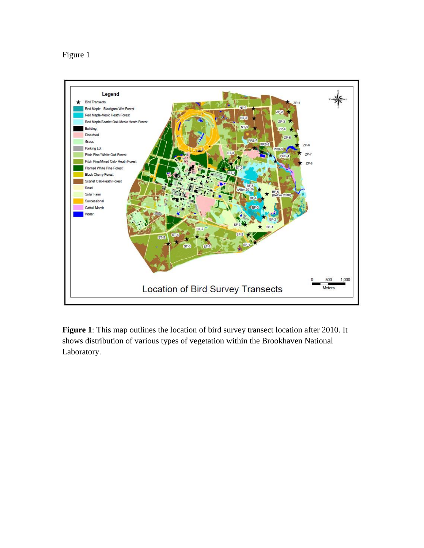# Figure 1



**Figure 1**: This map outlines the location of bird survey transect location after 2010. It shows distribution of various types of vegetation within the Brookhaven National Laboratory.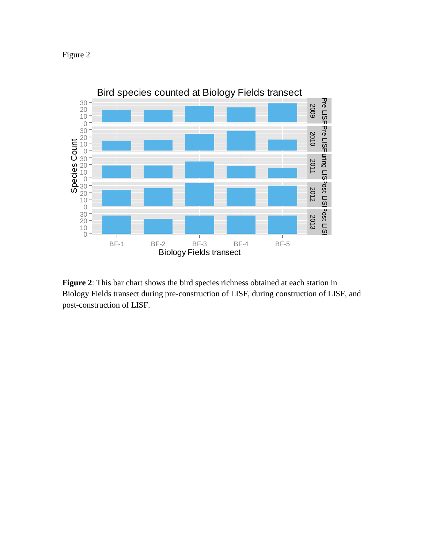



**Figure 2**: This bar chart shows the bird species richness obtained at each station in Biology Fields transect during pre-construction of LISF, during construction of LISF, and post-construction of LISF.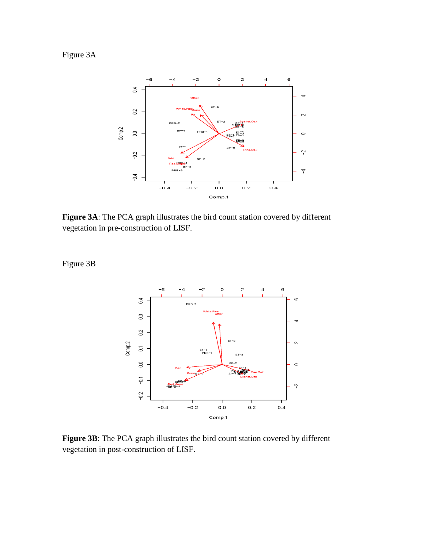Figure 3A



**Figure 3A**: The PCA graph illustrates the bird count station covered by different vegetation in pre-construction of LISF.

Figure 3B



**Figure 3B**: The PCA graph illustrates the bird count station covered by different vegetation in post-construction of LISF.